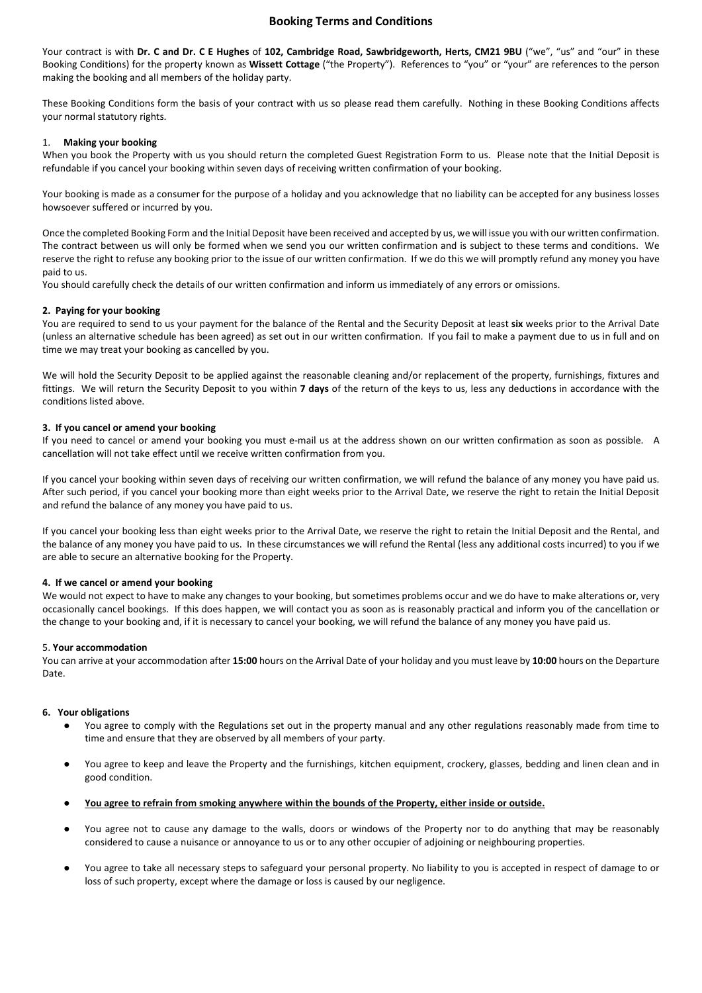# Booking Terms and Conditions

Your contract is with Dr. C and Dr. C E Hughes of 102, Cambridge Road, Sawbridgeworth, Herts, CM21 9BU ("we", "us" and "our" in these Booking Conditions) for the property known as Wissett Cottage ("the Property"). References to "you" or "your" are references to the person making the booking and all members of the holiday party.

These Booking Conditions form the basis of your contract with us so please read them carefully. Nothing in these Booking Conditions affects your normal statutory rights.

## 1. Making your booking

When you book the Property with us you should return the completed Guest Registration Form to us. Please note that the Initial Deposit is refundable if you cancel your booking within seven days of receiving written confirmation of your booking.

Your booking is made as a consumer for the purpose of a holiday and you acknowledge that no liability can be accepted for any business losses howsoever suffered or incurred by you.

Once the completed Booking Form and the Initial Deposit have been received and accepted by us, we will issue you with our written confirmation. The contract between us will only be formed when we send you our written confirmation and is subject to these terms and conditions. We reserve the right to refuse any booking prior to the issue of our written confirmation. If we do this we will promptly refund any money you have paid to us.

You should carefully check the details of our written confirmation and inform us immediately of any errors or omissions.

### 2. Paying for your booking

You are required to send to us your payment for the balance of the Rental and the Security Deposit at least six weeks prior to the Arrival Date (unless an alternative schedule has been agreed) as set out in our written confirmation. If you fail to make a payment due to us in full and on time we may treat your booking as cancelled by you.

We will hold the Security Deposit to be applied against the reasonable cleaning and/or replacement of the property, furnishings, fixtures and fittings. We will return the Security Deposit to you within 7 days of the return of the keys to us, less any deductions in accordance with the conditions listed above.

### 3. If you cancel or amend your booking

If you need to cancel or amend your booking you must e-mail us at the address shown on our written confirmation as soon as possible. A cancellation will not take effect until we receive written confirmation from you.

If you cancel your booking within seven days of receiving our written confirmation, we will refund the balance of any money you have paid us. After such period, if you cancel your booking more than eight weeks prior to the Arrival Date, we reserve the right to retain the Initial Deposit and refund the balance of any money you have paid to us.

If you cancel your booking less than eight weeks prior to the Arrival Date, we reserve the right to retain the Initial Deposit and the Rental, and the balance of any money you have paid to us. In these circumstances we will refund the Rental (less any additional costs incurred) to you if we are able to secure an alternative booking for the Property.

### 4. If we cancel or amend your booking

We would not expect to have to make any changes to your booking, but sometimes problems occur and we do have to make alterations or, very occasionally cancel bookings. If this does happen, we will contact you as soon as is reasonably practical and inform you of the cancellation or the change to your booking and, if it is necessary to cancel your booking, we will refund the balance of any money you have paid us.

### 5. Your accommodation

You can arrive at your accommodation after 15:00 hours on the Arrival Date of your holiday and you must leave by 10:00 hours on the Departure Date.

## 6. Your obligations

- You agree to comply with the Regulations set out in the property manual and any other regulations reasonably made from time to time and ensure that they are observed by all members of your party.
- You agree to keep and leave the Property and the furnishings, kitchen equipment, crockery, glasses, bedding and linen clean and in good condition.
- You agree to refrain from smoking anywhere within the bounds of the Property, either inside or outside.
- You agree not to cause any damage to the walls, doors or windows of the Property nor to do anything that may be reasonably considered to cause a nuisance or annoyance to us or to any other occupier of adjoining or neighbouring properties.
- You agree to take all necessary steps to safeguard your personal property. No liability to you is accepted in respect of damage to or loss of such property, except where the damage or loss is caused by our negligence.